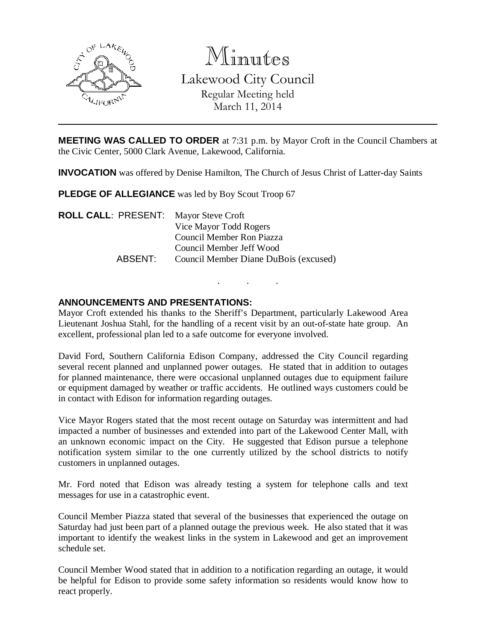

Minutes

Lakewood City Council Regular Meeting held March 11, 2014

**MEETING WAS CALLED TO ORDER** at 7:31 p.m. by Mayor Croft in the Council Chambers at the Civic Center, 5000 Clark Avenue, Lakewood, California.

**INVOCATION** was offered by Denise Hamilton, The Church of Jesus Christ of Latter-day Saints

**PLEDGE OF ALLEGIANCE** was led by Boy Scout Troop 67

**ROLL CALL**: PRESENT: Mayor Steve Croft Vice Mayor Todd Rogers Council Member Ron Piazza Council Member Jeff Wood ABSENT: Council Member Diane DuBois (excused)

### **ANNOUNCEMENTS AND PRESENTATIONS:**

Mayor Croft extended his thanks to the Sheriff's Department, particularly Lakewood Area Lieutenant Joshua Stahl, for the handling of a recent visit by an out-of-state hate group. An excellent, professional plan led to a safe outcome for everyone involved.

. . .

David Ford, Southern California Edison Company, addressed the City Council regarding several recent planned and unplanned power outages. He stated that in addition to outages for planned maintenance, there were occasional unplanned outages due to equipment failure or equipment damaged by weather or traffic accidents. He outlined ways customers could be in contact with Edison for information regarding outages.

Vice Mayor Rogers stated that the most recent outage on Saturday was intermittent and had impacted a number of businesses and extended into part of the Lakewood Center Mall, with an unknown economic impact on the City. He suggested that Edison pursue a telephone notification system similar to the one currently utilized by the school districts to notify customers in unplanned outages.

Mr. Ford noted that Edison was already testing a system for telephone calls and text messages for use in a catastrophic event.

Council Member Piazza stated that several of the businesses that experienced the outage on Saturday had just been part of a planned outage the previous week. He also stated that it was important to identify the weakest links in the system in Lakewood and get an improvement schedule set.

Council Member Wood stated that in addition to a notification regarding an outage, it would be helpful for Edison to provide some safety information so residents would know how to react properly.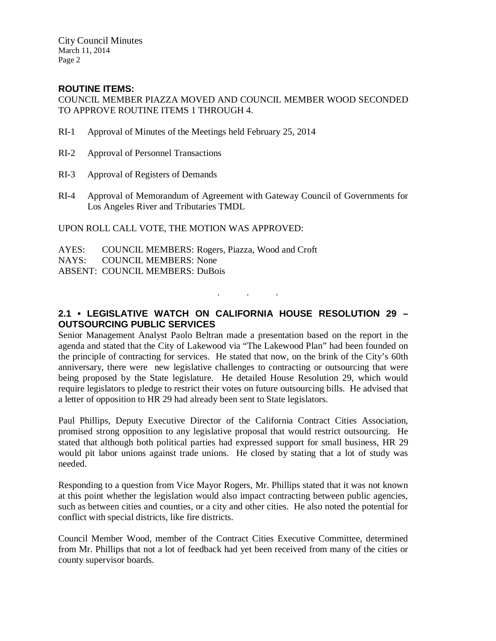City Council Minutes March 11, 2014 Page 2

### **ROUTINE ITEMS:**

COUNCIL MEMBER PIAZZA MOVED AND COUNCIL MEMBER WOOD SECONDED TO APPROVE ROUTINE ITEMS 1 THROUGH 4.

- RI-1 Approval of Minutes of the Meetings held February 25, 2014
- RI-2 Approval of Personnel Transactions
- RI-3 Approval of Registers of Demands
- RI-4 Approval of Memorandum of Agreement with Gateway Council of Governments for Los Angeles River and Tributaries TMDL

UPON ROLL CALL VOTE, THE MOTION WAS APPROVED:

- AYES: COUNCIL MEMBERS: Rogers, Piazza, Wood and Croft
- NAYS: COUNCIL MEMBERS: None

ABSENT: COUNCIL MEMBERS: DuBois

## **2.1 • LEGISLATIVE WATCH ON CALIFORNIA HOUSE RESOLUTION 29 – OUTSOURCING PUBLIC SERVICES**

. . .

Senior Management Analyst Paolo Beltran made a presentation based on the report in the agenda and stated that the City of Lakewood via "The Lakewood Plan" had been founded on the principle of contracting for services. He stated that now, on the brink of the City's 60th anniversary, there were new legislative challenges to contracting or outsourcing that were being proposed by the State legislature. He detailed House Resolution 29, which would require legislators to pledge to restrict their votes on future outsourcing bills. He advised that a letter of opposition to HR 29 had already been sent to State legislators.

Paul Phillips, Deputy Executive Director of the California Contract Cities Association, promised strong opposition to any legislative proposal that would restrict outsourcing. He stated that although both political parties had expressed support for small business, HR 29 would pit labor unions against trade unions. He closed by stating that a lot of study was needed.

Responding to a question from Vice Mayor Rogers, Mr. Phillips stated that it was not known at this point whether the legislation would also impact contracting between public agencies, such as between cities and counties, or a city and other cities. He also noted the potential for conflict with special districts, like fire districts.

Council Member Wood, member of the Contract Cities Executive Committee, determined from Mr. Phillips that not a lot of feedback had yet been received from many of the cities or county supervisor boards.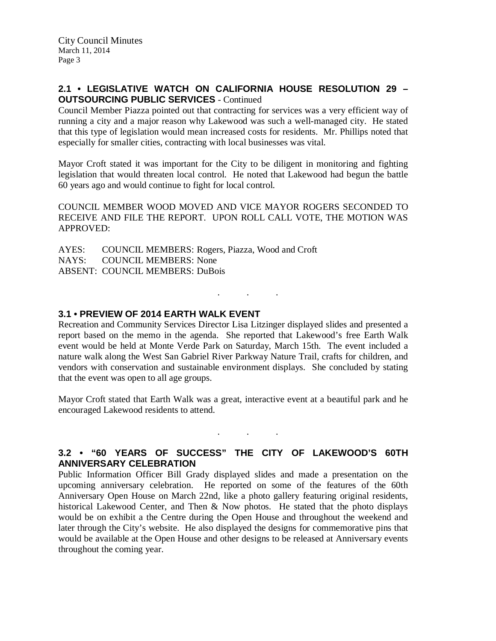#### **2.1 • LEGISLATIVE WATCH ON CALIFORNIA HOUSE RESOLUTION 29 – OUTSOURCING PUBLIC SERVICES** - Continued

Council Member Piazza pointed out that contracting for services was a very efficient way of running a city and a major reason why Lakewood was such a well-managed city. He stated that this type of legislation would mean increased costs for residents. Mr. Phillips noted that especially for smaller cities, contracting with local businesses was vital.

Mayor Croft stated it was important for the City to be diligent in monitoring and fighting legislation that would threaten local control. He noted that Lakewood had begun the battle 60 years ago and would continue to fight for local control.

COUNCIL MEMBER WOOD MOVED AND VICE MAYOR ROGERS SECONDED TO RECEIVE AND FILE THE REPORT. UPON ROLL CALL VOTE, THE MOTION WAS APPROVED:

AYES: COUNCIL MEMBERS: Rogers, Piazza, Wood and Croft NAYS: COUNCIL MEMBERS: None ABSENT: COUNCIL MEMBERS: DuBois

#### **3.1 • PREVIEW OF 2014 EARTH WALK EVENT**

Recreation and Community Services Director Lisa Litzinger displayed slides and presented a report based on the memo in the agenda. She reported that Lakewood's free Earth Walk event would be held at Monte Verde Park on Saturday, March 15th. The event included a nature walk along the West San Gabriel River Parkway Nature Trail, crafts for children, and vendors with conservation and sustainable environment displays. She concluded by stating that the event was open to all age groups.

. . .

Mayor Croft stated that Earth Walk was a great, interactive event at a beautiful park and he encouraged Lakewood residents to attend.

### **3.2 • "60 YEARS OF SUCCESS" THE CITY OF LAKEWOOD'S 60TH ANNIVERSARY CELEBRATION**

. . .

Public Information Officer Bill Grady displayed slides and made a presentation on the upcoming anniversary celebration. He reported on some of the features of the 60th Anniversary Open House on March 22nd, like a photo gallery featuring original residents, historical Lakewood Center, and Then & Now photos. He stated that the photo displays would be on exhibit a the Centre during the Open House and throughout the weekend and later through the City's website. He also displayed the designs for commemorative pins that would be available at the Open House and other designs to be released at Anniversary events throughout the coming year.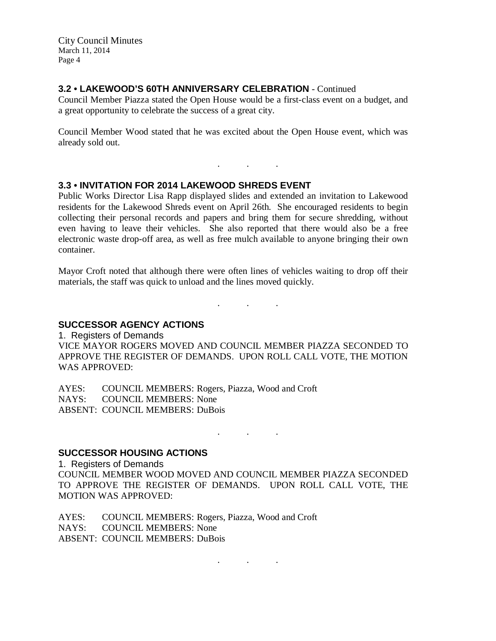City Council Minutes March 11, 2014 Page 4

#### **3.2 • LAKEWOOD'S 60TH ANNIVERSARY CELEBRATION** - Continued

Council Member Piazza stated the Open House would be a first-class event on a budget, and a great opportunity to celebrate the success of a great city.

Council Member Wood stated that he was excited about the Open House event, which was already sold out.

. . .

#### **3.3 • INVITATION FOR 2014 LAKEWOOD SHREDS EVENT**

Public Works Director Lisa Rapp displayed slides and extended an invitation to Lakewood residents for the Lakewood Shreds event on April 26th. She encouraged residents to begin collecting their personal records and papers and bring them for secure shredding, without even having to leave their vehicles. She also reported that there would also be a free electronic waste drop-off area, as well as free mulch available to anyone bringing their own container.

Mayor Croft noted that although there were often lines of vehicles waiting to drop off their materials, the staff was quick to unload and the lines moved quickly.

. . .

# **SUCCESSOR AGENCY ACTIONS**

1. Registers of Demands VICE MAYOR ROGERS MOVED AND COUNCIL MEMBER PIAZZA SECONDED TO APPROVE THE REGISTER OF DEMANDS. UPON ROLL CALL VOTE, THE MOTION WAS APPROVED:

AYES: COUNCIL MEMBERS: Rogers, Piazza, Wood and Croft NAYS: COUNCIL MEMBERS: None ABSENT: COUNCIL MEMBERS: DuBois

. . .

. . .

#### **SUCCESSOR HOUSING ACTIONS**

1. Registers of Demands COUNCIL MEMBER WOOD MOVED AND COUNCIL MEMBER PIAZZA SECONDED TO APPROVE THE REGISTER OF DEMANDS. UPON ROLL CALL VOTE, THE MOTION WAS APPROVED:

AYES: COUNCIL MEMBERS: Rogers, Piazza, Wood and Croft NAYS: COUNCIL MEMBERS: None ABSENT: COUNCIL MEMBERS: DuBois